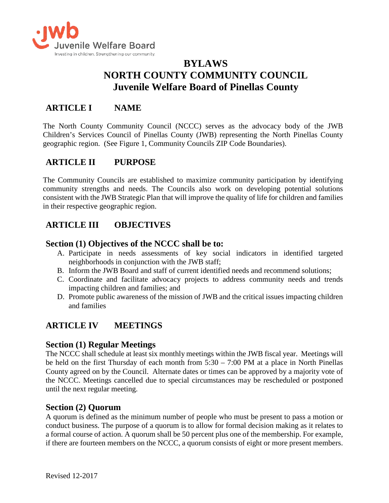

# **BYLAWS NORTH COUNTY COMMUNITY COUNCIL Juvenile Welfare Board of Pinellas County**

## **ARTICLE I NAME**

The North County Community Council (NCCC) serves as the advocacy body of the JWB Children's Services Council of Pinellas County (JWB) representing the North Pinellas County geographic region. (See Figure 1, Community Councils ZIP Code Boundaries).

## **ARTICLE II PURPOSE**

The Community Councils are established to maximize community participation by identifying community strengths and needs. The Councils also work on developing potential solutions consistent with the JWB Strategic Plan that will improve the quality of life for children and families in their respective geographic region.

## **ARTICLE III OBJECTIVES**

### **Section (1) Objectives of the NCCC shall be to:**

- A. Participate in needs assessments of key social indicators in identified targeted neighborhoods in conjunction with the JWB staff;
- B. Inform the JWB Board and staff of current identified needs and recommend solutions;
- C. Coordinate and facilitate advocacy projects to address community needs and trends impacting children and families; and
- D. Promote public awareness of the mission of JWB and the critical issues impacting children and families

## **ARTICLE IV MEETINGS**

#### **Section (1) Regular Meetings**

The NCCC shall schedule at least six monthly meetings within the JWB fiscal year. Meetings will be held on the first Thursday of each month from 5:30 – 7:00 PM at a place in North Pinellas County agreed on by the Council. Alternate dates or times can be approved by a majority vote of the NCCC. Meetings cancelled due to special circumstances may be rescheduled or postponed until the next regular meeting.

#### **Section (2) Quorum**

A quorum is defined as the minimum number of people who must be present to pass a motion or conduct business. The purpose of a quorum is to allow for formal decision making as it relates to a formal course of action. A quorum shall be 50 percent plus one of the membership. For example, if there are fourteen members on the NCCC, a quorum consists of eight or more present members.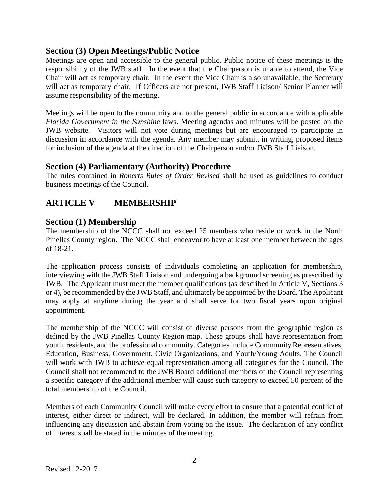#### **Section (3) Open Meetings/Public Notice**

Meetings are open and accessible to the general public. Public notice of these meetings is the responsibility of the JWB staff. In the event that the Chairperson is unable to attend, the Vice Chair will act as temporary chair. In the event the Vice Chair is also unavailable, the Secretary will act as temporary chair. If Officers are not present, JWB Staff Liaison/ Senior Planner will assume responsibility of the meeting.

Meetings will be open to the community and to the general public in accordance with applicable *Florida Government in the Sunshine* laws. Meeting agendas and minutes will be posted on the JWB website. Visitors will not vote during meetings but are encouraged to participate in discussion in accordance with the agenda. Any member may submit, in writing, proposed items for inclusion of the agenda at the direction of the Chairperson and/or JWB Staff Liaison.

#### **Section (4) Parliamentary (Authority) Procedure**

The rules contained in *Roberts Rules of Order Revised* shall be used as guidelines to conduct business meetings of the Council.

## **ARTICLE V MEMBERSHIP**

#### **Section (1) Membership**

The membership of the NCCC shall not exceed 25 members who reside or work in the North Pinellas County region. The NCCC shall endeavor to have at least one member between the ages of 18-21.

The application process consists of individuals completing an application for membership, interviewing with the JWB Staff Liaison and undergoing a background screening as prescribed by JWB. The Applicant must meet the member qualifications (as described in Article V, Sections 3 or 4), be recommended by the JWB Staff, and ultimately be appointed by the Board. The Applicant may apply at anytime during the year and shall serve for two fiscal years upon original appointment.

The membership of the NCCC will consist of diverse persons from the geographic region as defined by the JWB Pinellas County Region map. These groups shall have representation from youth, residents, and the professional community. Categoriesinclude Community Representatives, Education, Business, Government, Civic Organizations, and Youth/Young Adults. The Council will work with JWB to achieve equal representation among all categories for the Council. The Council shall not recommend to the JWB Board additional members of the Council representing a specific category if the additional member will cause such category to exceed 50 percent of the total membership of the Council.

Members of each Community Council will make every effort to ensure that a potential conflict of interest, either direct or indirect, will be declared. In addition, the member will refrain from influencing any discussion and abstain from voting on the issue. The declaration of any conflict of interest shall be stated in the minutes of the meeting.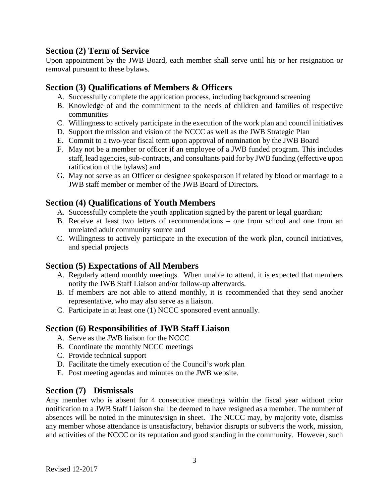### **Section (2) Term of Service**

Upon appointment by the JWB Board, each member shall serve until his or her resignation or removal pursuant to these bylaws.

#### **Section (3) Qualifications of Members & Officers**

- A. Successfully complete the application process, including background screening
- B. Knowledge of and the commitment to the needs of children and families of respective communities
- C. Willingness to actively participate in the execution of the work plan and council initiatives
- D. Support the mission and vision of the NCCC as well as the JWB Strategic Plan
- E. Commit to a two-year fiscal term upon approval of nomination by the JWB Board
- F. May not be a member or officer if an employee of a JWB funded program. This includes staff, lead agencies, sub-contracts, and consultants paid for by JWB funding (effective upon ratification of the bylaws) and
- G. May not serve as an Officer or designee spokesperson if related by blood or marriage to a JWB staff member or member of the JWB Board of Directors.

## **Section (4) Qualifications of Youth Members**

- A. Successfully complete the youth application signed by the parent or legal guardian;
- B. Receive at least two letters of recommendations one from school and one from an unrelated adult community source and
- C. Willingness to actively participate in the execution of the work plan, council initiatives, and special projects

## **Section (5) Expectations of All Members**

- A. Regularly attend monthly meetings. When unable to attend, it is expected that members notify the JWB Staff Liaison and/or follow-up afterwards.
- B. If members are not able to attend monthly, it is recommended that they send another representative, who may also serve as a liaison.
- C. Participate in at least one (1) NCCC sponsored event annually.

## **Section (6) Responsibilities of JWB Staff Liaison**

- A. Serve as the JWB liaison for the NCCC
- B. Coordinate the monthly NCCC meetings
- C. Provide technical support
- D. Facilitate the timely execution of the Council's work plan
- E. Post meeting agendas and minutes on the JWB website.

## **Section (7) Dismissals**

Any member who is absent for 4 consecutive meetings within the fiscal year without prior notification to a JWB Staff Liaison shall be deemed to have resigned as a member. The number of absences will be noted in the minutes/sign in sheet. The NCCC may, by majority vote, dismiss any member whose attendance is unsatisfactory, behavior disrupts or subverts the work, mission, and activities of the NCCC or its reputation and good standing in the community. However, such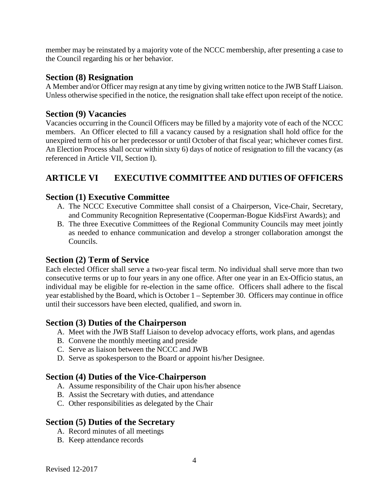member may be reinstated by a majority vote of the NCCC membership, after presenting a case to the Council regarding his or her behavior.

#### **Section (8) Resignation**

A Member and/or Officer may resign at any time by giving written notice to the JWB Staff Liaison. Unless otherwise specified in the notice, the resignation shall take effect upon receipt of the notice.

#### **Section (9) Vacancies**

Vacancies occurring in the Council Officers may be filled by a majority vote of each of the NCCC members. An Officer elected to fill a vacancy caused by a resignation shall hold office for the unexpired term of his or her predecessor or until October of that fiscal year; whichever comes first. An Election Process shall occur within sixty 6) days of notice of resignation to fill the vacancy (as referenced in Article VII, Section I).

## **ARTICLE VI EXECUTIVE COMMITTEE AND DUTIES OF OFFICERS**

### **Section (1) Executive Committee**

- A. The NCCC Executive Committee shall consist of a Chairperson, Vice-Chair, Secretary, and Community Recognition Representative (Cooperman-Bogue KidsFirst Awards); and
- B. The three Executive Committees of the Regional Community Councils may meet jointly as needed to enhance communication and develop a stronger collaboration amongst the Councils.

## **Section (2) Term of Service**

Each elected Officer shall serve a two-year fiscal term. No individual shall serve more than two consecutive terms or up to four years in any one office. After one year in an Ex-Officio status, an individual may be eligible for re-election in the same office. Officers shall adhere to the fiscal year established by the Board, which is October 1 – September 30. Officers may continue in office until their successors have been elected, qualified, and sworn in.

## **Section (3) Duties of the Chairperson**

- A. Meet with the JWB Staff Liaison to develop advocacy efforts, work plans, and agendas
- B. Convene the monthly meeting and preside
- C. Serve as liaison between the NCCC and JWB
- D. Serve as spokesperson to the Board or appoint his/her Designee.

## **Section (4) Duties of the Vice-Chairperson**

- A. Assume responsibility of the Chair upon his/her absence
- B. Assist the Secretary with duties, and attendance
- C. Other responsibilities as delegated by the Chair

## **Section (5) Duties of the Secretary**

- A. Record minutes of all meetings
- B. Keep attendance records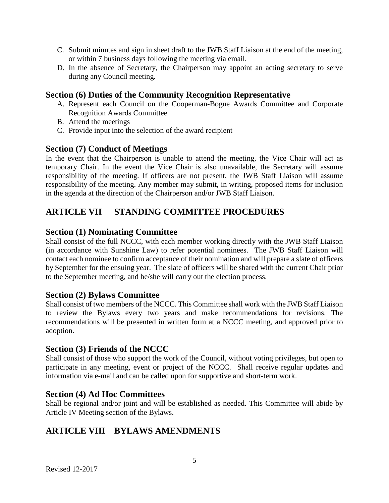- C. Submit minutes and sign in sheet draft to the JWB Staff Liaison at the end of the meeting, or within 7 business days following the meeting via email.
- D. In the absence of Secretary, the Chairperson may appoint an acting secretary to serve during any Council meeting.

#### **Section (6) Duties of the Community Recognition Representative**

- A. Represent each Council on the Cooperman-Bogue Awards Committee and Corporate Recognition Awards Committee
- B. Attend the meetings
- C. Provide input into the selection of the award recipient

#### **Section (7) Conduct of Meetings**

In the event that the Chairperson is unable to attend the meeting, the Vice Chair will act as temporary Chair. In the event the Vice Chair is also unavailable, the Secretary will assume responsibility of the meeting. If officers are not present, the JWB Staff Liaison will assume responsibility of the meeting. Any member may submit, in writing, proposed items for inclusion in the agenda at the direction of the Chairperson and/or JWB Staff Liaison.

## **ARTICLE VII STANDING COMMITTEE PROCEDURES**

#### **Section (1) Nominating Committee**

Shall consist of the full NCCC, with each member working directly with the JWB Staff Liaison (in accordance with Sunshine Law) to refer potential nominees. The JWB Staff Liaison will contact each nominee to confirm acceptance of their nomination and will prepare a slate of officers by September for the ensuing year. The slate of officers will be shared with the current Chair prior to the September meeting, and he/she will carry out the election process.

#### **Section (2) Bylaws Committee**

Shall consist of two members of the NCCC. This Committee shall work with the JWB Staff Liaison to review the Bylaws every two years and make recommendations for revisions. The recommendations will be presented in written form at a NCCC meeting, and approved prior to adoption.

#### **Section (3) Friends of the NCCC**

Shall consist of those who support the work of the Council, without voting privileges, but open to participate in any meeting, event or project of the NCCC. Shall receive regular updates and information via e-mail and can be called upon for supportive and short-term work.

#### **Section (4) Ad Hoc Committees**

Shall be regional and/or joint and will be established as needed. This Committee will abide by Article IV Meeting section of the Bylaws.

## **ARTICLE VIII BYLAWS AMENDMENTS**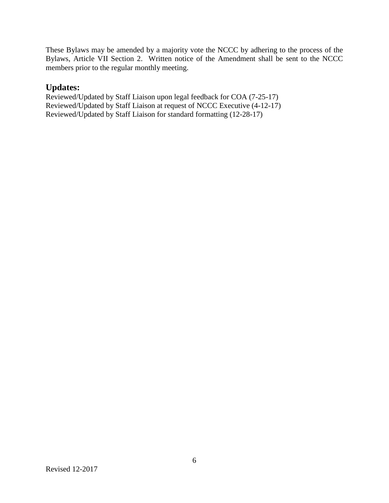These Bylaws may be amended by a majority vote the NCCC by adhering to the process of the Bylaws, Article VII Section 2. Written notice of the Amendment shall be sent to the NCCC members prior to the regular monthly meeting.

### **Updates:**

Reviewed/Updated by Staff Liaison upon legal feedback for COA (7-25-17) Reviewed/Updated by Staff Liaison at request of NCCC Executive (4-12-17) Reviewed/Updated by Staff Liaison for standard formatting (12-28-17)